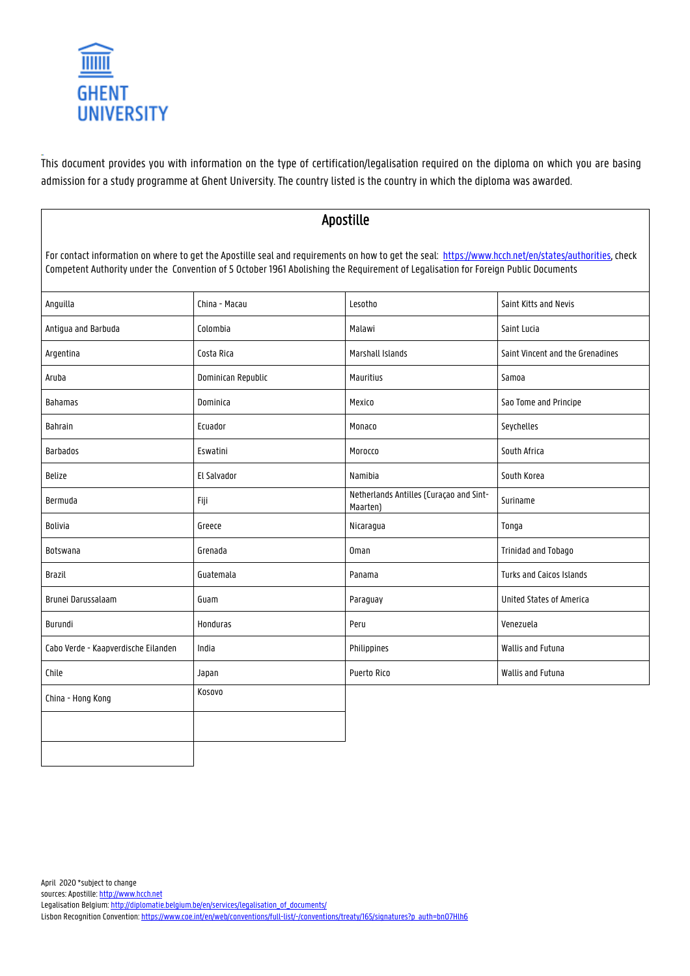

This document provides you with information on the type of certification/legalisation required on the diploma on which you are basing admission for a study programme at Ghent University. The country listed is the country in which the diploma was awarded.

| Apostille                                                                                                                                                                                                                                                                                   |                    |                                                     |                                  |  |  |
|---------------------------------------------------------------------------------------------------------------------------------------------------------------------------------------------------------------------------------------------------------------------------------------------|--------------------|-----------------------------------------------------|----------------------------------|--|--|
| For contact information on where to get the Apostille seal and requirements on how to get the seal: https://www.hcch.net/en/states/authorities, check<br>Competent Authority under the Convention of 5 October 1961 Abolishing the Requirement of Legalisation for Foreign Public Documents |                    |                                                     |                                  |  |  |
| Anguilla                                                                                                                                                                                                                                                                                    | China - Macau      | Lesotho                                             | Saint Kitts and Nevis            |  |  |
| Antiqua and Barbuda                                                                                                                                                                                                                                                                         | Colombia           | Malawi                                              | Saint Lucia                      |  |  |
| Argentina                                                                                                                                                                                                                                                                                   | Costa Rica         | Marshall Islands                                    | Saint Vincent and the Grenadines |  |  |
| Aruba                                                                                                                                                                                                                                                                                       | Dominican Republic | Mauritius                                           | Samoa                            |  |  |
| <b>Bahamas</b>                                                                                                                                                                                                                                                                              | Dominica           | Mexico                                              | Sao Tome and Principe            |  |  |
| Bahrain                                                                                                                                                                                                                                                                                     | Ecuador            | Monaco                                              | Seychelles                       |  |  |
| <b>Barbados</b>                                                                                                                                                                                                                                                                             | Eswatini           | Morocco                                             | South Africa                     |  |  |
| <b>Belize</b>                                                                                                                                                                                                                                                                               | El Salvador        | Namibia                                             | South Korea                      |  |  |
| Bermuda                                                                                                                                                                                                                                                                                     | Fiji               | Netherlands Antilles (Curaçao and Sint-<br>Maarten) | Suriname                         |  |  |
| Bolivia                                                                                                                                                                                                                                                                                     | Greece             | Nicaragua                                           | Tonga                            |  |  |
| Botswana                                                                                                                                                                                                                                                                                    | Grenada            | <b>Oman</b>                                         | <b>Trinidad and Tobago</b>       |  |  |
| Brazil                                                                                                                                                                                                                                                                                      | Guatemala          | Panama                                              | Turks and Caicos Islands         |  |  |
| Brunei Darussalaam                                                                                                                                                                                                                                                                          | Guam               | Paraguay                                            | United States of America         |  |  |
| Burundi                                                                                                                                                                                                                                                                                     | <b>Honduras</b>    | Peru                                                | Venezuela                        |  |  |
| Cabo Verde - Kaapverdische Eilanden                                                                                                                                                                                                                                                         | India              | Philippines                                         | Wallis and Futuna                |  |  |
| Chile                                                                                                                                                                                                                                                                                       | Japan              | Puerto Rico                                         | Wallis and Futuna                |  |  |
| China - Hong Kong                                                                                                                                                                                                                                                                           | Kosovo             |                                                     |                                  |  |  |
|                                                                                                                                                                                                                                                                                             |                    |                                                     |                                  |  |  |
|                                                                                                                                                                                                                                                                                             |                    |                                                     |                                  |  |  |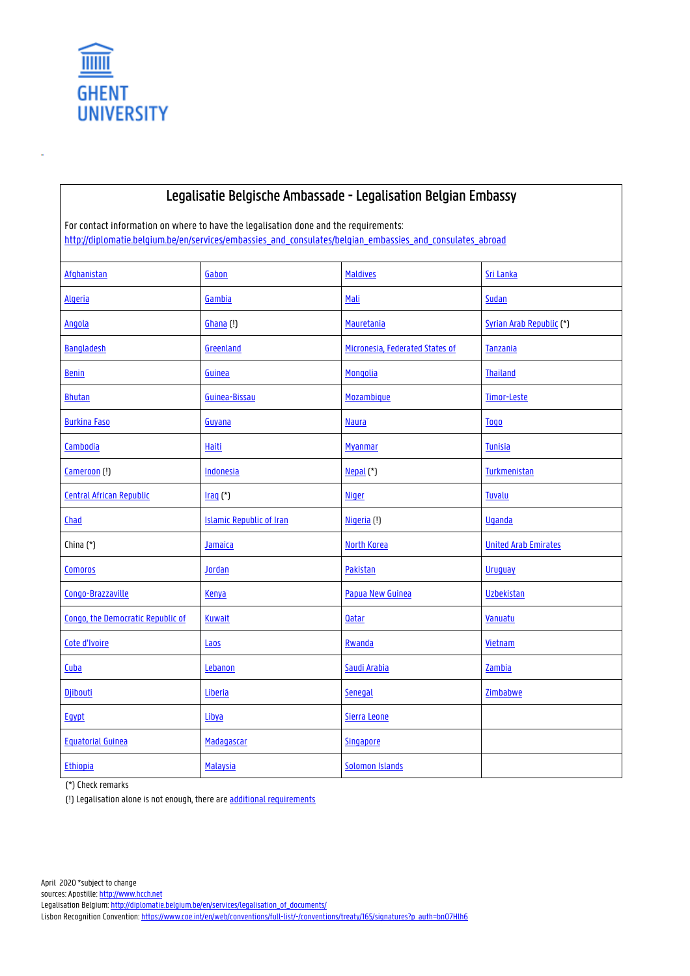

## Legalisatie Belgische Ambassade - Legalisation Belgian Embassy

For contact information on where to have the legalisation done and the requirements: http://diplomatie.belgium.be/en/services/embassies\_and\_consulates/belgian\_embassies\_and\_consulates\_abroad

| Afghanistan                       | Gabon                           | <b>Maldives</b>                 | Sri Lanka                   |
|-----------------------------------|---------------------------------|---------------------------------|-----------------------------|
| <b>Algeria</b>                    | Gambia                          | Mali                            | Sudan                       |
| <b>Angola</b>                     | Ghana (!)                       | Mauretania                      | Syrian Arab Republic (*)    |
| <b>Bangladesh</b>                 | Greenland                       | Micronesia, Federated States of | Tanzania                    |
| <b>Benin</b>                      | Guinea                          | Mongolia                        | <b>Thailand</b>             |
| <b>Bhutan</b>                     | Guinea-Bissau                   | Mozambique                      | Timor-Leste                 |
| <b>Burkina Faso</b>               | Guyana                          | <b>Naura</b>                    | <b>Togo</b>                 |
| Cambodia                          | <b>Haiti</b>                    | <b>Myanmar</b>                  | <b>Tunisia</b>              |
| Cameroon (!)                      | Indonesia                       | Nepal <sub>(*)</sub>            | Turkmenistan                |
| <b>Central African Republic</b>   | $Iraq$ (*)                      | <b>Niger</b>                    | <b>Tuvalu</b>               |
| Chad                              | <b>Islamic Republic of Iran</b> | Nigeria (!)                     | <b>Uganda</b>               |
| China (*)                         | Jamaica                         | North Korea                     | <b>United Arab Emirates</b> |
| <b>Comoros</b>                    | Jordan                          | Pakistan                        | <b>Uruguay</b>              |
| Congo-Brazzaville                 | Kenya                           | Papua New Guinea                | <b>Uzbekistan</b>           |
| Congo, the Democratic Republic of | <b>Kuwait</b>                   | <b>Qatar</b>                    | Vanuatu                     |
| Cote d'Ivoire                     | Laos                            | Rwanda                          | Vietnam                     |
| Cuba                              | Lebanon                         | Saudi Arabia                    | Zambia                      |
| Djibouti                          | Liberia                         | Senegal                         | Zimbabwe                    |
| Egypt                             | Libya                           | Sierra Leone                    |                             |
| <b>Equatorial Guinea</b>          | Madagascar                      | Singapore                       |                             |
| <b>Ethiopia</b>                   | <b>Malaysia</b>                 | <b>Solomon Islands</b>          |                             |

(\*) Check remarks

(!) Legalisation alone is not enough, there are additional requirements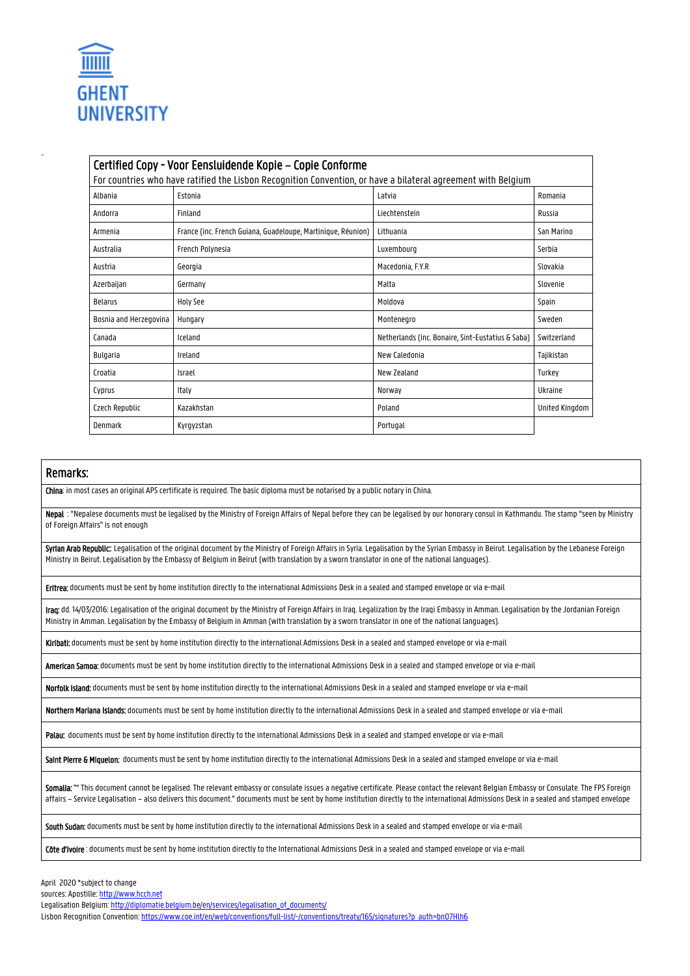

| Certified Copy - Voor Eensluidende Kopie - Copie Conforme                                                     |                                                              |                                                   |                |  |  |  |  |
|---------------------------------------------------------------------------------------------------------------|--------------------------------------------------------------|---------------------------------------------------|----------------|--|--|--|--|
| For countries who have ratified the Lisbon Recognition Convention, or have a bilateral agreement with Belgium |                                                              |                                                   |                |  |  |  |  |
| Albania                                                                                                       | Estonia                                                      | Latvia                                            | Romania        |  |  |  |  |
| Andorra                                                                                                       | Finland                                                      | Liechtenstein                                     | Russia         |  |  |  |  |
| Armenia                                                                                                       | France (inc. French Guiana, Guadeloupe, Martinique, Réunion) | Lithuania                                         | San Marino     |  |  |  |  |
| Australia                                                                                                     | French Polynesia                                             | Luxembourg                                        | Serbia         |  |  |  |  |
| Austria                                                                                                       | Georgia                                                      | Macedonia, F.Y.R                                  | Slovakia       |  |  |  |  |
| Azerbaijan                                                                                                    | Germany                                                      | Malta                                             | Slovenie       |  |  |  |  |
| <b>Belarus</b>                                                                                                | Holy See                                                     | Moldova                                           | Spain          |  |  |  |  |
| Bosnia and Herzegovina                                                                                        | Hungary                                                      | Montenegro                                        | Sweden         |  |  |  |  |
| Canada                                                                                                        | Iceland                                                      | Netherlands (inc. Bonaire, Sint-Eustatius & Saba) | Switzerland    |  |  |  |  |
| Bulgaria                                                                                                      | Ireland                                                      | New Caledonia                                     | Tajikistan     |  |  |  |  |
| Croatia                                                                                                       | Israel                                                       | New Zealand                                       | Turkey         |  |  |  |  |
| Cyprus                                                                                                        | Italy                                                        | Norway                                            | Ukraine        |  |  |  |  |
| Czech Republic                                                                                                | Kazakhstan                                                   | Poland                                            | United Kingdom |  |  |  |  |
| Denmark                                                                                                       | Kyrgyzstan                                                   | Portugal                                          |                |  |  |  |  |

## Remarks:

China: in most cases an original APS certificate is required. The basic diploma must be notarised by a public notary in China.

Nepal : "Nepalese documents must be legalised by the Ministry of Foreign Affairs of Nepal before they can be legalised by our honorary consul in Kathmandu. The stamp "seen by Ministry of Foreign Affairs" is not enough

Syrian Arab Republic: Legalisation of the original document by the Ministry of Foreign Affairs in Syria. Legalisation by the Syrian Embassy in Beirut. Legalisation by the Lebanese Foreign Ministry in Beirut. Legalisation by the Embassy of Belgium in Beirut (with translation by a sworn translator in one of the national languages).

Eritrea: documents must be sent by home institution directly to the international Admissions Desk in a sealed and stamped envelope or via e-mail

Iraq: dd. 14/03/2016: Legalisation of the original document by the Ministry of Foreign Affairs in Iraq. Legalization by the Iraqi Embassy in Amman. Legalisation by the Jordanian Foreign Ministry in Amman. Legalisation by the Embassy of Belgium in Amman (with translation by a sworn translator in one of the national languages).

Kiribati: documents must be sent by home institution directly to the international Admissions Desk in a sealed and stamped envelope or via e-mail

American Samoa: documents must be sent by home institution directly to the international Admissions Desk in a sealed and stamped envelope or via e-mail

Norfolk Island: documents must be sent by home institution directly to the international Admissions Desk in a sealed and stamped envelope or via e-mail

Northern Mariana Islands: documents must be sent by home institution directly to the international Admissions Desk in a sealed and stamped envelope or via e-mail

Palau: documents must be sent by home institution directly to the international Admissions Desk in a sealed and stamped envelope or via e-mail

Saint Pierre & Miquelon: documents must be sent by home institution directly to the international Admissions Desk in a sealed and stamped envelope or via e-mail

Somalia: "" This document cannot be legalised. The relevant embassy or consulate issues a negative certificate. Please contact the relevant Belgian Embassy or Consulate. The FPS Foreign affairs – Service Legalisation – also delivers this document." documents must be sent by home institution directly to the international Admissions Desk in a sealed and stamped envelope

South Sudan: documents must be sent by home institution directly to the international Admissions Desk in a sealed and stamped envelope or via e-mail

Côte d'Ivoire: documents must be sent by home institution directly to the International Admissions Desk in a sealed and stamped envelope or via e-mail

April 2020 \*subject to change

sources: Apostille: http://www.hcch.net

Lisbon Recognition Convention: https://www.coe.int/en/web/conventions/full-list/-/conventions/treaty/165/signatures?p\_auth=bn07Hlh6

Legalisation Belgium: http://diplomatie.belgium.be/en/services/legalisation\_of\_documents/